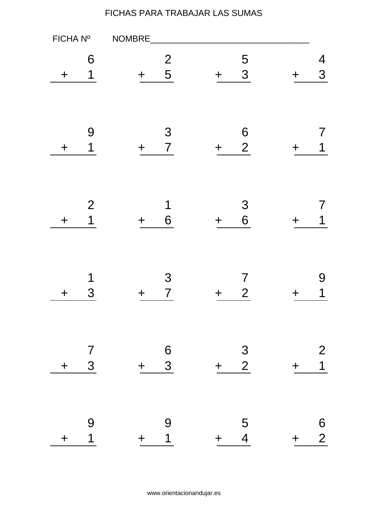| FICHA Nº    |                     | NOMBRE                                       |                                              |             |                                  |
|-------------|---------------------|----------------------------------------------|----------------------------------------------|-------------|----------------------------------|
| ╋           | 6<br>1              | $\overline{2}$<br>5<br>$\div$                | 5<br>3<br>$\div$                             | ╈           | 4<br>3                           |
| $\mathbf +$ | 9<br>1              | 3<br>$\overline{7}$<br>$\div$                | $\boldsymbol{6}$<br>$\overline{2}$<br>$\div$ |             | 1                                |
| $\mathbf +$ | $\mathbf{2}$<br>1   | 1<br>6<br>$\div$                             | 3<br>6<br>$\div$                             |             | 1                                |
| ╈           | 1<br>3              | 3<br>$\overline{7}$                          | 7<br>$\overline{2}$<br>╈                     |             | 9<br>1                           |
| $\bm{+}$    | $\frac{7}{3}$       | $\begin{array}{c} 6 \\ 3 \end{array}$<br>$+$ | $\frac{3}{2}$<br>$+$                         | $\mathbf +$ | $\overline{2}$<br>$\overline{1}$ |
| $\ddag$     | 9<br>$\overline{1}$ | 9<br>$\overline{1}$<br>$+$                   | $\frac{5}{4}$<br>$+$                         | $\pm$       | $\frac{6}{2}$                    |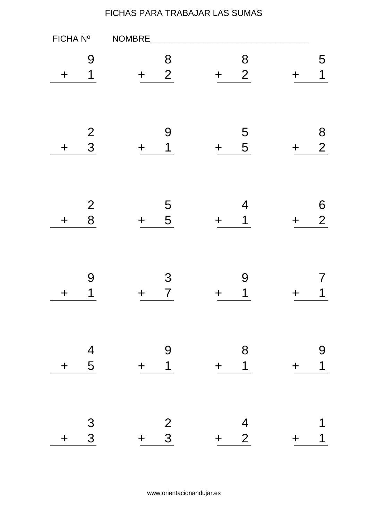| FICHA Nº    |                     | NOMBRE                        |                                |                  |                     |
|-------------|---------------------|-------------------------------|--------------------------------|------------------|---------------------|
| ╈           | 9<br>1              | 8<br>$\overline{2}$<br>$\div$ | 8<br>$\overline{2}$<br>$\ddag$ | $\boldsymbol{+}$ | 5<br>$\overline{1}$ |
| $\mathbf +$ | $\frac{2}{3}$       | 9<br>1<br>╈                   | 5<br>5<br>$\div$               | ┿                | 8<br>$\overline{2}$ |
| $\div$      | $\overline{2}$<br>8 | 5<br>5                        | 4<br>1<br>╈                    |                  | 6<br>$\overline{2}$ |
| ╈           | 9<br>1              | 3<br>$\overline{7}$           | 9<br>1<br>┿                    |                  | 1                   |
| $\ddag$     | $\frac{4}{5}$       | 9<br>$\overline{1}$<br>$+$    | 8<br>$\overline{1}$<br>$+$     | $\pm$            | 9<br>$\overline{1}$ |
| $\div$      | $\frac{3}{3}$       | $\frac{2}{3}$<br>$+$          | $\frac{4}{2}$<br>$+$ $-$       | $\pm$            | 1                   |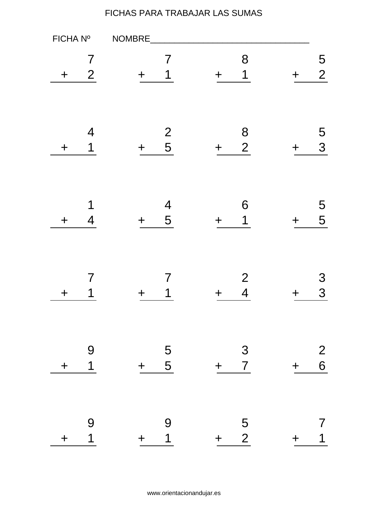| FICHA Nº    |                     | NOMBRE                        |                                                 |       |                     |
|-------------|---------------------|-------------------------------|-------------------------------------------------|-------|---------------------|
| ╈           | 7<br>$\overline{2}$ | 7<br>1<br>$\div$              | 8<br>1<br>$\div$                                | ╋     | 5<br>$\overline{2}$ |
| $\div$      | $\overline{4}$<br>1 | $\frac{2}{5}$<br>$\div$       | $\begin{array}{c} 8 \\ 2 \end{array}$<br>$\div$ | ╈     | 5<br>3              |
| $\div$      | 1<br>4              | $\overline{\mathcal{A}}$<br>5 | 6<br>1<br>╋                                     |       | 5<br>5              |
| ╈           | 7<br>1              | 7<br>1                        | $\overline{2}$<br>$\overline{\mathcal{A}}$      |       | 3<br>3              |
| $\div$      | 9<br>$\overline{1}$ | $\overline{5}$<br>$+ 5$       | $3\overline{3}$<br>$\overline{7}$<br>$+$        | $\pm$ | 2<br>6              |
| $\mathbf +$ | 9<br>$\overline{1}$ | 9<br>$\overline{1}$<br>$+$    | $\frac{5}{2}$<br>$+$                            | ╋     | 1                   |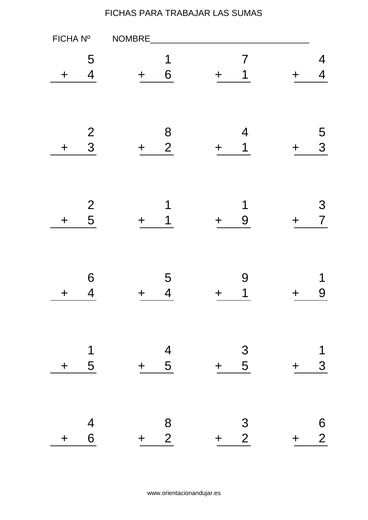| FICHA Nº    |                              | NOMBRE                                       |                      |     |                     |
|-------------|------------------------------|----------------------------------------------|----------------------|-----|---------------------|
| ╈           | 5<br>$\overline{4}$          | 1<br>6<br>$\div$                             | 7<br>$\div$          |     | 4<br>4              |
| $\mathbf +$ | $\frac{2}{3}$                | 8<br>$\overline{2}$<br>$\div$                | 4<br>1<br>┿          | ╈   | 5<br>3              |
| $\div$      | $\frac{2}{5}$                | 1<br>1                                       | 1<br>9<br>╋          |     | 3<br>$\overline{7}$ |
| ╈           | 6<br>4                       | 5<br>$\overline{4}$                          | 9<br>1               |     | 1<br>9              |
| $\div$      | $\overline{\mathbf{1}}$<br>5 | $\frac{4}{5}$<br>$+$                         | $\frac{3}{5}$<br>$+$ | $+$ | 1<br>3              |
| $\div$      | $\frac{4}{6}$                | $\begin{array}{c} 8 \\ 2 \end{array}$<br>$+$ | $\frac{3}{2}$<br>$+$ | $+$ | $\frac{6}{2}$       |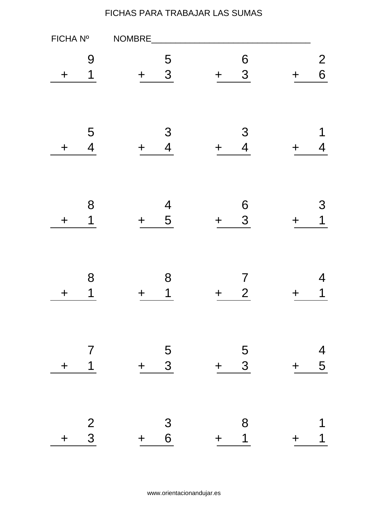| FICHA Nº    |                                  | NOMBRE |                                       |                            |       |                     |
|-------------|----------------------------------|--------|---------------------------------------|----------------------------|-------|---------------------|
| ╈           | 9<br>1                           |        | 5<br>3                                | 6<br>3<br>╈                |       | $\overline{2}$<br>6 |
| $\mathbf +$ | 5<br>$\overline{4}$              | ╈      | 3<br>$\overline{4}$                   | 3<br>$\overline{4}$<br>╈   |       | 1<br>4              |
| $\mathbf +$ | 8<br>1                           | $\div$ | $\overline{\mathcal{A}}$<br>5         | $\boldsymbol{6}$<br>3<br>╈ |       | З<br>1              |
| ╈           | 8<br>1                           |        | 8<br>1                                | 7<br>$\overline{2}$        |       | 4<br>1              |
| $\ddag$     | $\overline{7}$<br>$\overline{1}$ | $+$    | $\frac{5}{3}$                         | $\frac{5}{3}$<br>$\pm$     | $+$   | $\frac{4}{5}$       |
| $\ddag$     | $\frac{2}{3}$                    | $+$    | $\begin{array}{c} 3 \\ 6 \end{array}$ | 8<br>$\overline{1}$<br>$+$ | $\pm$ | 1<br>1              |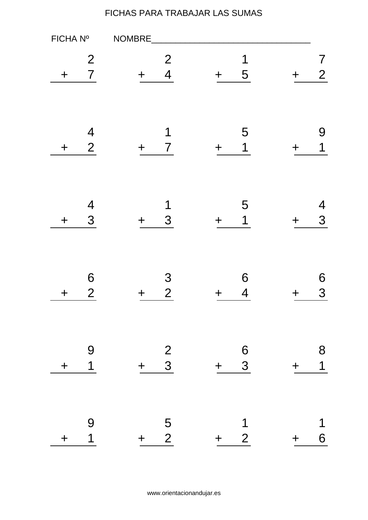| FICHA Nº    |                                            | NOMBRE                                       |                                              |         |                     |
|-------------|--------------------------------------------|----------------------------------------------|----------------------------------------------|---------|---------------------|
| +           | $\overline{2}$<br>$\overline{7}$           | $\overline{2}$<br>$\overline{4}$             | 1<br>5<br>$\mathbf +$                        |         | 7<br>$\overline{2}$ |
| $\mathbf +$ | $\overline{\mathcal{A}}$<br>$\overline{2}$ | 1<br>$\overline{7}$                          | 5<br>$\mathbf 1$<br>$\div$                   |         | 9<br>1              |
| $\mathbf +$ | $\overline{\mathcal{A}}$<br>3              | 1<br>3                                       | 5<br>1<br>╈                                  |         | 4<br>3              |
| ╈           | 6<br>$\overline{2}$                        | 3<br>$\overline{2}$                          | 6<br>4<br>┿                                  |         | 6<br>3              |
| $\ddag$     | $\overline{9}$<br>$\overline{1}$           | $\begin{array}{c} 2 \\ 3 \end{array}$<br>$+$ | $\begin{array}{c} 6 \\ 3 \end{array}$<br>$+$ | $\ddag$ | 8<br>$\overline{1}$ |
| $\ddag$     | 9<br>$\overline{1}$                        | $\begin{array}{cc} & 5 \\ + & 2 \end{array}$ | 1<br>$\overline{2}$<br>$+$ $-$               | $\pm$   | 1<br>6              |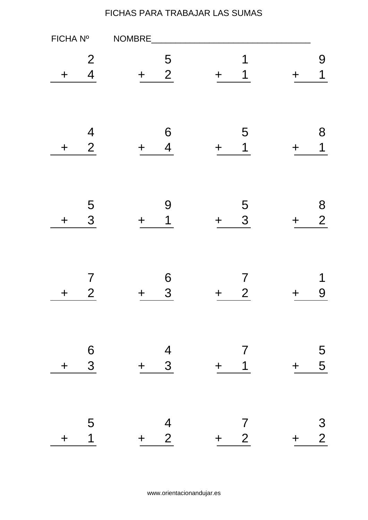| FICHA Nº    |                                            | NOMBRE               |                                              |       |                     |
|-------------|--------------------------------------------|----------------------|----------------------------------------------|-------|---------------------|
| ╋           | $\overline{2}$<br>$\overline{4}$           | 5<br>$\overline{2}$  | 1<br>1<br>╈                                  |       | 9<br>1              |
| $\mathbf +$ | $\overline{\mathcal{A}}$<br>$\overline{2}$ | 6<br>$\overline{4}$  | 5<br>$\mathbf 1$<br>╈                        |       | 8<br>1              |
| $\mathbf +$ | 5<br>3                                     | 9<br>1               | 5<br>3<br>╈                                  |       | 8<br>$\overline{2}$ |
| ╈           | $\overline{\mathcal{I}}$<br>$\overline{2}$ | 6<br>3               | 7<br>$\overline{2}$<br>┿                     |       | 1<br>9              |
| $\div$      | $\frac{6}{3}$                              | $\frac{4}{3}$<br>$+$ | $\overline{7}$<br>$\overline{1}$<br>$+$      | $+$   | 5<br>5<br>5         |
| $\ddag$     | 5<br>$\overline{1}$                        | $\frac{4}{2}$<br>$+$ | $\overline{7}$<br>$2\overline{ }$<br>$+$ $-$ | $\pm$ | $\frac{3}{2}$       |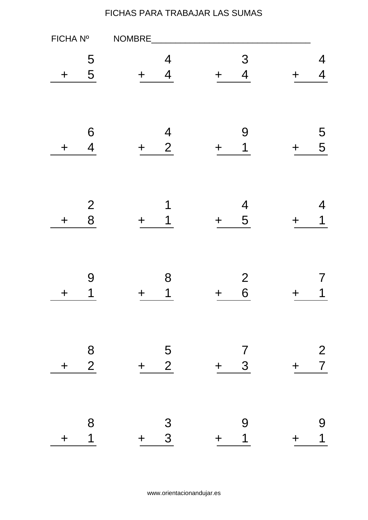| FICHA Nº    |                                       | NOMBRE                                     |                                         |             |                                  |
|-------------|---------------------------------------|--------------------------------------------|-----------------------------------------|-------------|----------------------------------|
| ╈           | 5<br>5                                | 4<br>$\overline{4}$                        | 3<br>$\overline{\mathbf{4}}$<br>$\div$  | ╋           | 4<br>4                           |
| ╈           | 6<br>$\overline{\mathcal{A}}$         | $\overline{4}$<br>$\overline{2}$<br>$\div$ | 9<br>1<br>╋                             |             | 5<br>5                           |
| $\mathbf +$ | $\overline{2}$<br>8                   | 1<br>1                                     | $\overline{4}$<br>5<br>$\div$           |             | 4<br>1                           |
| ╈           | 9<br>1                                | 8<br>$\mathbf 1$                           | $\overline{2}$<br>6<br>╈                |             | 1                                |
| $\div$      | $\begin{array}{c} 8 \\ 2 \end{array}$ | $\overline{5}$<br>$\overline{2}$<br>$+$    | $\overline{7}$<br>3 <sup>1</sup><br>$+$ | $\bm{+}$    | $\overline{2}$<br>$\overline{7}$ |
| $\ddag$     | 8<br>$\overline{\mathbf{1}}$          | $\frac{3}{3}$<br>$+$                       | 9<br>$\overline{\mathbf{1}}$<br>$+$     | $\mathbf +$ | 9<br>$\overline{1}$              |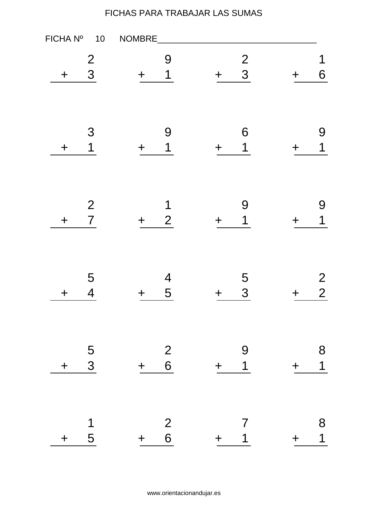| FICHA Nº | $10$                             | NOMBRE  |                                       |        |                     |       |                                  |
|----------|----------------------------------|---------|---------------------------------------|--------|---------------------|-------|----------------------------------|
| $\ddag$  | $\overline{c}$<br>3              | ╈       | 9<br>1                                | $\div$ | $\frac{2}{3}$       |       | 1<br>6                           |
| $\bm{+}$ | 3<br>1                           | ╈       | 9<br>1                                | ╋      | 6<br>1              |       | 9<br>1                           |
| $\ddag$  | $\overline{2}$<br>$\overline{7}$ | ╋       | 1<br>$\overline{2}$                   |        | 9<br>1              |       | 9<br>1                           |
| $\bm{+}$ | 5<br>$\overline{4}$              | ╈       | $\overline{\mathcal{A}}$<br>5         | ╋      | 5<br>3              |       | $\overline{2}$<br>$\overline{2}$ |
| $\pm$    | $\frac{5}{3}$                    | $+$     | $\begin{array}{c} 2 \\ 6 \end{array}$ | $+$    | 9<br>$\overline{1}$ | $\pm$ | 8<br>$\overline{1}$              |
| $+$      | 1<br>$5\overline{)}$             | $+$ $-$ | $\begin{array}{c} 2 \\ 6 \end{array}$ | $+$    | 7<br>$\mathbf 1$    | $\pm$ | 8<br>$\overline{\mathbf{1}}$     |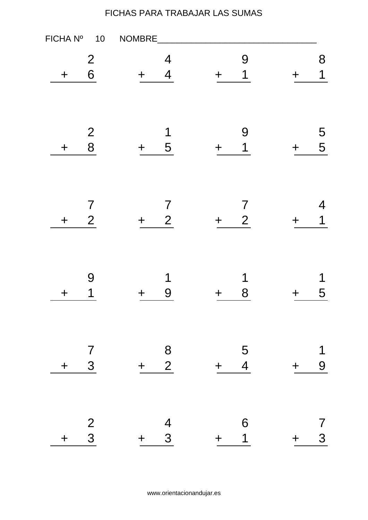| FICHA Nº<br>$10$                                          | NOMBRE                                           |                            |                 |
|-----------------------------------------------------------|--------------------------------------------------|----------------------------|-----------------|
| $\overline{2}$<br>6<br>$\ddag$                            | 4<br>$\overline{\mathcal{A}}$<br>╈               | 9<br>$\overline{1}$        | 8<br>1          |
| $\overline{2}$<br>8<br>$\mathbf +$                        | 1<br>5<br>$\bm{+}$                               | 9<br>1<br>╋                | 5<br>5          |
| $\overline{\mathcal{I}}$<br>$\overline{2}$<br>$\mathbf +$ | $\overline{\mathcal{I}}$<br>$\overline{2}$       | 7<br>$\overline{2}$        | 4<br>1          |
| 9<br>1<br>$\bm{+}$                                        | 1<br>9<br>╈                                      | 1<br>8<br>╈                | 1<br>5          |
| $\overline{7}$<br>$3\overline{)}$<br>$\ddag$              | $\begin{array}{c}\n 8 \\  + 2\n \end{array}$     | $\frac{5}{4}$<br>$+$       | 1<br>9<br>$\pm$ |
| $\frac{2}{3}$<br>$\ddag$                                  | $\overline{4}$<br>$\overline{\mathbf{3}}$<br>$+$ | 6<br>$\overline{1}$<br>$+$ | 7<br>3<br>$+$   |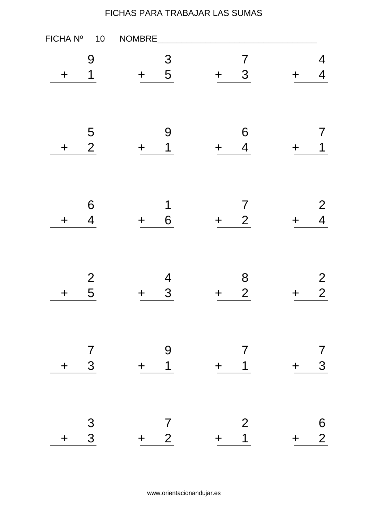| FICHA Nº                           | 10 | NOMBRE                                    |                          |        |                                  |     |                                  |
|------------------------------------|----|-------------------------------------------|--------------------------|--------|----------------------------------|-----|----------------------------------|
| 9<br>1<br>$\mathbf +$              |    | $\bm{+}$                                  | 3<br>5                   | $\div$ | $\overline{7}$<br>3              |     | 4<br>4                           |
| 5<br>$\overline{2}$<br>$\mathbf +$ |    | ╈                                         | 9<br>1                   | ┿      | 6<br>$\overline{4}$              |     | $\sqrt{2}$<br>1                  |
| 6<br>$\overline{4}$<br>$\ddag$     |    | $\div$                                    | 1<br>6                   | ╈      | 7<br>$\overline{2}$              |     | $\overline{2}$<br>$\overline{4}$ |
| $\overline{2}$<br>5<br>$\mathbf +$ |    | ╈                                         | $\overline{4}$<br>3      |        | 8<br>$\overline{2}$              |     | $\overline{2}$<br>$\overline{2}$ |
| $\frac{7}{3}$<br>$\div$            |    | $\begin{array}{c}\n9 \\ + 1\n\end{array}$ |                          | $+$    | $\overline{7}$<br>$\overline{1}$ | $+$ | 7<br>3                           |
| $\frac{3}{3}$<br>$+$               |    | $+ 2$                                     | $\overline{\mathcal{L}}$ | $+$    | $\overline{2}$<br>$\overline{1}$ | $+$ | $\frac{6}{2}$                    |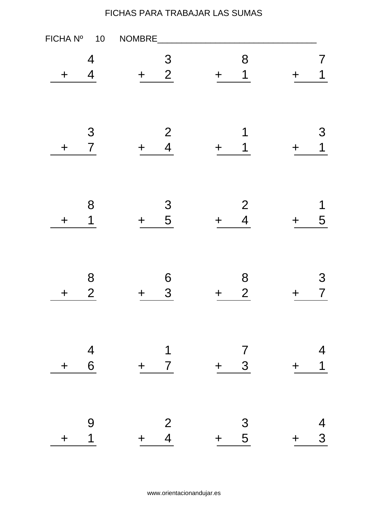| FICHA Nº<br>$10$                    | NOMBRE                                |                                              |                                     |
|-------------------------------------|---------------------------------------|----------------------------------------------|-------------------------------------|
| 4<br>$\overline{4}$<br>$\div$       | 3<br>$\overline{2}$<br>╈              | 8<br>1<br>$\div$                             | 1                                   |
| 3<br>$\overline{7}$<br>$\mathbf +$  | $\overline{2}$<br>$\overline{4}$<br>╈ | 1<br>1<br>╋                                  | 3<br>$\mathbf 1$                    |
| 8<br>1<br>$\mathbf +$               | 3<br>5<br>╋                           | $\overline{2}$<br>$\overline{4}$             | 1<br>5                              |
| 8<br>$\overline{2}$<br>$\mathbf +$  | 6<br>3<br>╈                           | 8<br>$\overline{2}$<br>╈                     | 3<br>7                              |
| $\overline{4}$<br>6<br>$+$          | 1<br>$+ 7$                            | $\overline{7}$<br>$+ 3$                      | 4<br>$\overline{\mathbf{1}}$<br>$+$ |
| 9<br>$\overline{\mathbf{1}}$<br>$+$ | $\frac{2}{4}$<br>$+$                  | $\begin{array}{cc} & 3 \\ + & 5 \end{array}$ | 4<br>3<br>$+$                       |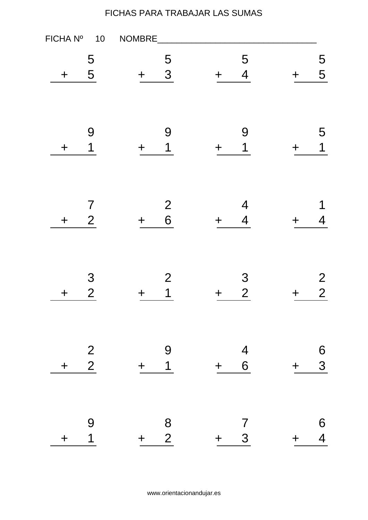| FICHA Nº    | 10                               | NOMBRE      |                                       |         |                                  |       |                                  |
|-------------|----------------------------------|-------------|---------------------------------------|---------|----------------------------------|-------|----------------------------------|
| $\mathbf +$ | 5<br>5                           | ╈           | 5<br>3                                | $\div$  | 5<br>$\overline{4}$              | ╈     | 5<br>5                           |
| $\mathbf +$ | 9<br>1                           | $\mathbf +$ | 9<br>1                                | $\div$  | 9<br>1                           |       | 5<br>$\mathbf 1$                 |
| $\mathbf +$ | $\overline{7}$<br>$\overline{2}$ | $\div$      | $\overline{2}$<br>6                   | ╈       | $\overline{4}$<br>$\overline{4}$ |       | 1<br>4                           |
| $\bm{+}$    | 3<br>$\overline{2}$              | ╈           | $\overline{2}$<br>1                   | ┿       | 3<br>$\overline{2}$              |       | $\overline{2}$<br>$\overline{2}$ |
| $\ddag$     | $\frac{2}{2}$                    | $+$         | 9<br>$\overline{1}$                   | $+$ $-$ | $\frac{4}{6}$                    | $\pm$ | 6<br>3                           |
| $\pm$       | 9<br>$\overline{1}$              | $+$         | $\begin{array}{c} 8 \\ 2 \end{array}$ | $+$     | $\overline{7}$<br>3 <sup>1</sup> | $+$   | 6<br>$\overline{4}$              |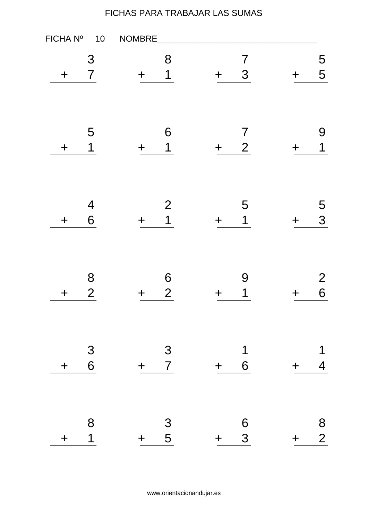| FICHA Nº                           | NOMBRE<br>10                |                                       |                                              |
|------------------------------------|-----------------------------|---------------------------------------|----------------------------------------------|
| 3<br>$\overline{7}$<br>$\mathbf +$ | 8<br>1<br>$\bm{+}$          | $\overline{7}$<br>3<br>$\div$         | 5<br>5                                       |
| 5<br>1<br>$\bm{+}$                 | 6<br>1<br>$\mathbf +$       | $\overline{7}$<br>$\overline{2}$<br>╈ | 9<br>1                                       |
| $\overline{4}$<br>6<br>$\mathbf +$ | $\mathbf{2}$<br>1<br>$\div$ | 5<br>1<br>╈                           | 5<br>3                                       |
| 8<br>$\overline{2}$<br>$\mathbf +$ | 6<br>$\overline{2}$<br>╈    | 9<br>1                                | $\overline{2}$<br>6                          |
| $\frac{3}{6}$<br>$\ddag$           | $\frac{3}{7}$<br>$+$        | $\mathbf 1$<br>6<br>$+$               | 1<br>$\overline{4}$<br>$+$                   |
| 8<br>1<br>$\pm$                    | $\frac{3}{5}$<br>$+$        | 6<br>3<br>$+$                         | $\begin{array}{c} 8 \\ 2 \end{array}$<br>$+$ |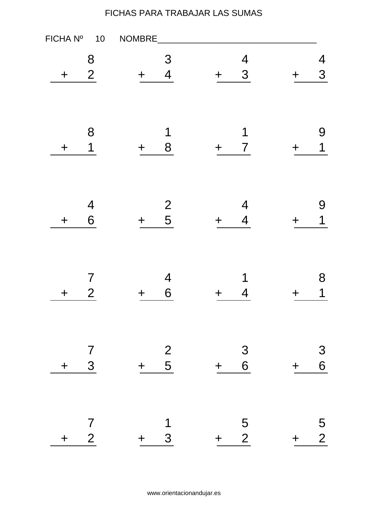| FICHA Nº                                               | NOMBRE<br>10                                 |                          |                                             |
|--------------------------------------------------------|----------------------------------------------|--------------------------|---------------------------------------------|
| 8<br>$\overline{2}$<br>$\mathbf +$                     | 3<br>$\overline{\mathcal{A}}$<br>╈           | $\overline{4}$<br>3<br>╋ | 4<br>3                                      |
| 8<br>1<br>$\bm{+}$                                     | 1<br>8<br>╈                                  | 1<br>$\overline{7}$<br>╈ | 9<br>1                                      |
| $\overline{\mathcal{A}}$<br>6<br>$\mathbf +$           | $\overline{\mathbf{c}}$<br>5<br>┿            | 4<br>$\overline{4}$      | 9<br>1                                      |
| $\overline{\mathcal{I}}$<br>$\overline{2}$<br>$\bm{+}$ | $\overline{4}$<br>6<br>╈                     | 1<br>4                   | 8<br>1                                      |
| $\overline{7}$<br>$\mathbf{3}$<br>$\pm$                | $\begin{array}{c} 2 \\ 5 \end{array}$<br>$+$ | $\frac{3}{6}$<br>$+$     | $\mathcal{S}_{\mathcal{S}}$<br>6<br>$\ddag$ |
| $\overline{7}$<br>$\overline{2}$<br>$+$                | 1<br>$\mathbf{3}$<br>$+$                     | $\frac{5}{2}$<br>$+$     | $\frac{5}{2}$<br>$+$ $-$                    |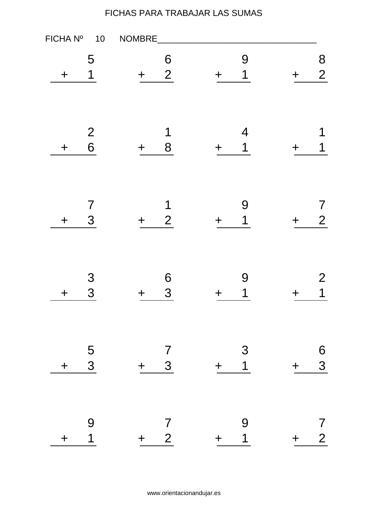| FICHA Nº<br>$10$                                     | NOMBRE                                  |                                         |                              |
|------------------------------------------------------|-----------------------------------------|-----------------------------------------|------------------------------|
| 5<br>1<br>$\div$                                     | 6<br>$\overline{2}$<br>$\div$           | 9<br>1<br>$\div$                        | 8<br>$\overline{2}$          |
| $\begin{array}{c} 2 \\ 6 \end{array}$<br>$\mathbf +$ | 1<br>8<br>$\bm{+}$                      | $\overline{\mathcal{A}}$<br>1<br>$\div$ | 1                            |
| $\overline{\mathcal{I}}$<br>3<br>$\mathbf +$         | 1<br>$\overline{2}$<br>$\div$           | 9<br>1<br>$\div$                        | $\sqrt{2}$<br>$\overline{2}$ |
| 3<br>3<br>$\mathbf +$                                | 6<br>3<br>╈                             | 9<br>1<br>╈                             | 2<br>1                       |
| $\frac{5}{3}$<br>$\pm$                               | $\overline{7}$<br>$\mathbf{3}$<br>$+$   | 3<br>$\overline{1}$<br>$+$              | 6<br>3<br>$+$                |
| 9<br>$\overline{\mathbf{1}}$<br>$\pm$                | $\overline{7}$<br>2 <sup>1</sup><br>$+$ | $\Theta$<br>$\overline{1}$<br>$+$       | 7<br>$\overline{2}$<br>$+$   |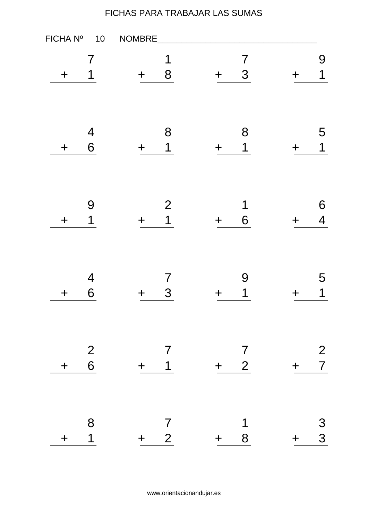| FICHA Nº<br>$10$                                 | NOMBRE                             |                                         |                               |
|--------------------------------------------------|------------------------------------|-----------------------------------------|-------------------------------|
| 7<br>1<br>$\mathbf +$                            | 1<br>8<br>$\mathbf +$              | $\overline{7}$<br>3<br>╈                | 9<br>$\overline{\mathbf{1}}$  |
| $\overline{4}$<br>6<br>$\mathbf +$               | 8<br>1<br>$\bm{+}$                 | 8<br>1<br>╋                             | 5<br>$\mathbf 1$              |
| 9<br>1<br>$\mathbf +$                            | $\overline{2}$<br>1<br>╋           | 1<br>6                                  | 6<br>$\overline{\mathcal{A}}$ |
| $\overline{4}$<br>6<br>$\bm{+}$                  | $\overline{\mathcal{I}}$<br>3<br>╈ | 9<br>1<br>╈                             | 5<br>1                        |
| $\begin{array}{c} 2 \\ 6 \end{array}$<br>$\ddag$ | $\overline{7}$<br>$+$ 1            | $\overline{7}$<br>$+ 2$                 | $\frac{2}{7}$<br>$+$          |
| 8<br>$\overline{\mathbf{1}}$<br>$\pm$            | $\overline{7}$<br>$+ 2$            | $\overline{\mathbf{1}}$<br>8<br>$+$ $-$ | $\mathfrak{S}$<br>3<br>$+$    |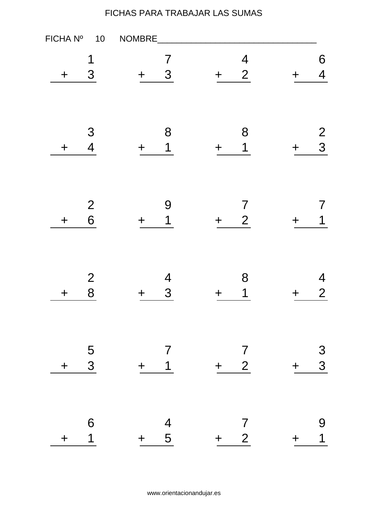| FICHA Nº<br>$10$                             | NOMBRE                                  |                                            |                            |
|----------------------------------------------|-----------------------------------------|--------------------------------------------|----------------------------|
| 1<br>3<br>$\mathbf +$                        | 7<br>3<br>$\mathbf +$                   | $\overline{4}$<br>$\overline{2}$<br>$\div$ | 6<br>$\overline{4}$        |
| 3<br>$\overline{\mathcal{A}}$<br>$\mathbf +$ | 8<br>1<br>$\mathbf +$                   | 8<br>1<br>$\div$                           | $\overline{2}$<br>3<br>┿   |
| $\overline{c}$<br>6<br>$\mathbf +$           | 9<br>1<br>$\div$                        | 7<br>$\overline{2}$<br>╋                   | 1                          |
| 2<br>8<br>$\bm{+}$                           | 4<br>3<br>╈                             | 8<br>1<br>┿                                | 4<br>$\overline{2}$        |
| $\frac{5}{3}$<br>$+$                         | $\overline{7}$<br>$+$ 1                 | $\overline{7}$<br>$+ 2$                    | $\frac{3}{3}$<br>$+$       |
| $6\phantom{1}6$<br>$\overline{1}$<br>$+$     | $\begin{array}{r} 4 \\ + 5 \end{array}$ | $\begin{array}{c} 7 \\ + 2 \end{array}$    | 9<br>$\overline{1}$<br>$+$ |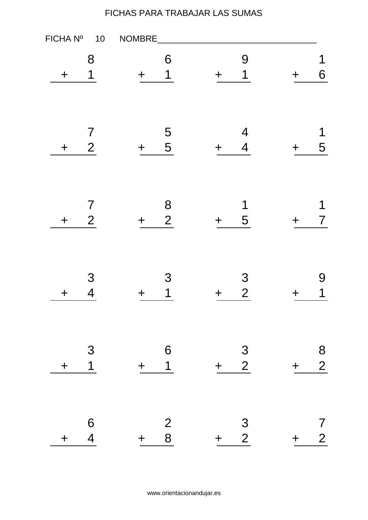| FICHA Nº    | $10$                                       | NOMBRE   |                                       |         |                                                      |            |                                       |
|-------------|--------------------------------------------|----------|---------------------------------------|---------|------------------------------------------------------|------------|---------------------------------------|
| $\ddag$     | 8<br>1                                     | ╈        | 6<br>1                                | $\div$  | 9<br>$\overline{1}$                                  |            | 1<br>6                                |
| $\mathbf +$ | $\overline{7}$<br>$\overline{2}$           | $\bm{+}$ | 5<br>5                                | ╋       | $\overline{\mathcal{A}}$<br>$\overline{\mathcal{A}}$ |            | 1<br>5                                |
| $\ddag$     | $\overline{\mathcal{I}}$<br>$\overline{2}$ | ╋        | 8<br>$\overline{2}$                   |         | 1<br>5                                               |            | 1<br>7                                |
| $\bm{+}$    | 3<br>$\overline{4}$                        | ╈        | 3<br>1                                | ╋       | 3<br>$\overline{2}$                                  |            | 9<br>1                                |
| $\ddag$     | 3<br>$\overline{\mathbf{1}}$               | $+$      | 6<br>$\overline{1}$                   | $+$     | $\frac{3}{2}$                                        | $\ddagger$ | $\begin{array}{c} 8 \\ 2 \end{array}$ |
| $\pm$       | 6<br>$\overline{4}$                        | $+$      | $\begin{array}{c} 2 \\ 8 \end{array}$ | $+$ $-$ | $\frac{3}{2}$                                        | $\pm$      | 7<br>$\overline{2}$                   |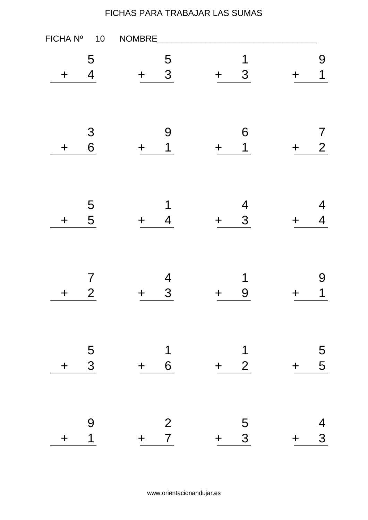| FICHA Nº<br>10                                         | NOMBRE                                |                                  |         |                                    |
|--------------------------------------------------------|---------------------------------------|----------------------------------|---------|------------------------------------|
| 5<br>$\overline{4}$<br>$\mathbf +$                     | 5<br>3<br>$\bm{+}$                    | 1<br>3<br>╋                      |         | 9<br>1                             |
| 3<br>6<br>$\bm{+}$                                     | 9<br>1<br>╈                           | 6<br>1<br>┿                      |         | $\boldsymbol{7}$<br>$\overline{2}$ |
| 5<br>5<br>$\mathbf +$                                  | 1<br>4<br>┿                           | $\overline{\mathcal{A}}$<br>3    |         | 4<br>4                             |
| $\overline{\mathcal{I}}$<br>$\overline{2}$<br>$\bm{+}$ | $\overline{4}$<br>3<br>╈              | 1<br>9                           |         | 9<br>1                             |
| $\frac{5}{3}$<br>$\pm$                                 | $\mathbf 1$<br>$6\overline{6}$<br>$+$ | $\overline{\mathbf{1}}$<br>$+ 2$ | $\pm$   | 5<br>5                             |
| 9<br>$\overline{1}$<br>$\pm$                           | 2<br>$\overline{7}$<br>$+$ $-$        | $\frac{5}{3}$<br>$+$ $-$         | $+$ $-$ | 4<br>3                             |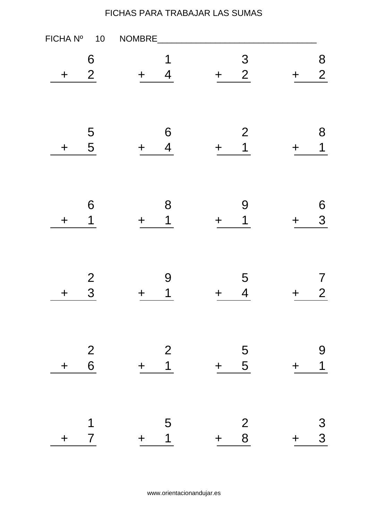| FICHA Nº<br>$10$                                 | NOMBRE                                       |                                                |                                             |
|--------------------------------------------------|----------------------------------------------|------------------------------------------------|---------------------------------------------|
| 6<br>$\overline{2}$<br>$\ddag$                   | 1<br>$\overline{4}$<br>╈                     | $\mathfrak{S}$<br>$\overline{2}$<br>$\div$     | 8<br>$\overline{2}$                         |
| 5<br>5<br>$\mathbf +$                            | 6<br>$\overline{\mathcal{A}}$<br>$\mathbf +$ | $\overline{2}$<br>$\overline{\mathbf{1}}$<br>╋ | 8<br>1                                      |
| 6<br>1<br>$\mathbf +$                            | 8<br>1<br>╈                                  | 9<br>1                                         | 6<br>3                                      |
| 2<br>3<br>$\bm{+}$                               | 9<br>1<br>╈                                  | 5<br>$\overline{\mathcal{A}}$<br>╈             | 7<br>$\overline{2}$                         |
| $\begin{array}{c} 2 \\ 6 \end{array}$<br>$\ddag$ | $\overline{2}$<br>$\overline{1}$<br>$+$      | $\frac{5}{5}$<br>$+$                           | 9<br>$\overline{\mathbf{1}}$<br>$\mathbf +$ |
| 1<br>$\overline{7}$<br>$\mathbf +$               | 5<br>$\overline{\mathbf{1}}$<br>$+$          | $\begin{array}{c} 2 \\ 8 \end{array}$<br>$+$   | $\mathfrak{S}$<br>3<br>$\pm$                |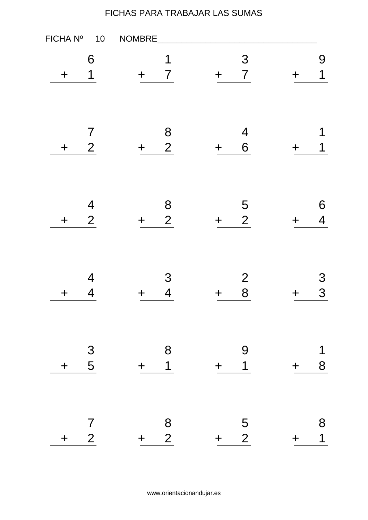| FICHA Nº         | $10$                                       | NOMBRE      |                     |        |                               |             |                               |
|------------------|--------------------------------------------|-------------|---------------------|--------|-------------------------------|-------------|-------------------------------|
| $\ddag$          | 6<br>1                                     | $\div$      | 1<br>$\overline{7}$ | $\div$ | 3<br>$\overline{7}$           |             | 9<br>1                        |
| $\boldsymbol{+}$ | $\overline{7}$<br>$\overline{2}$           | $\mathbf +$ | 8<br>2              | $\div$ | $\overline{\mathcal{A}}$<br>6 |             | 1<br>1                        |
| $\mathbf +$      | $\overline{\mathcal{A}}$<br>$\overline{2}$ | ╋           | 8<br>$\overline{2}$ |        | 5<br>$\overline{2}$           |             | 6<br>$\overline{\mathcal{A}}$ |
| $\bm{+}$         | $\overline{4}$<br>4                        | ╈           | 3<br>$\overline{4}$ | ╈      | $\overline{2}$<br>8           |             | 3<br>3                        |
| $\ddag$          | $\begin{array}{c}\n3 \\ 5\n\end{array}$    | $+$         | 8<br>$\overline{1}$ | $+$    | 9<br>$\overline{1}$           | $\pm$       | 1<br>8                        |
| $\pm$            | $\overline{7}$<br>$\overline{2}$           | $+$         | 8<br>$\overline{2}$ | $+$    | $\frac{5}{2}$                 | $\mathbf +$ | 8<br>$\overline{1}$           |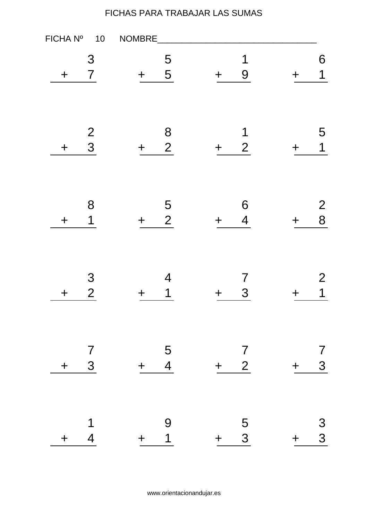| FICHA Nº                 | 10                           | NOMBRE                                  |                                       |        |                               |     |                     |
|--------------------------|------------------------------|-----------------------------------------|---------------------------------------|--------|-------------------------------|-----|---------------------|
| $\mathbf +$              | 3<br>$\overline{7}$          | $\mathbf +$                             | 5<br>5                                | $\div$ | 1<br>9                        | ╋   | 6<br>$\mathbf 1$    |
| $\mathbf +$              | $\frac{2}{3}$                | $\mathbf +$                             | $\begin{array}{c} 8 \\ 2 \end{array}$ | $\div$ | 1<br>$\overline{2}$           |     | 5<br>$\mathbf 1$    |
| $\ddag$                  | 8<br>$\overline{\mathbf{1}}$ | $\div$                                  | 5<br>$\overline{2}$                   | ╋      | 6<br>$\overline{\mathcal{A}}$ |     | $\overline{2}$<br>8 |
| $\bm{+}$                 | 3<br>$\overline{2}$          | ╈                                       | 4<br>1                                | ┿      | 7<br>3                        |     | 2<br>1              |
| $\overline{7}$<br>$\div$ | $3\overline{3}$              | $\begin{array}{c} 5 \\ + 4 \end{array}$ |                                       | $+$    | $\frac{7}{2}$                 | $+$ | 7<br>3              |
| $\overline{4}$<br>$+$    | 1                            | $+$                                     | 9<br>$\overline{1}$                   | $+$    | $\frac{5}{3}$                 | $+$ | $\frac{3}{3}$       |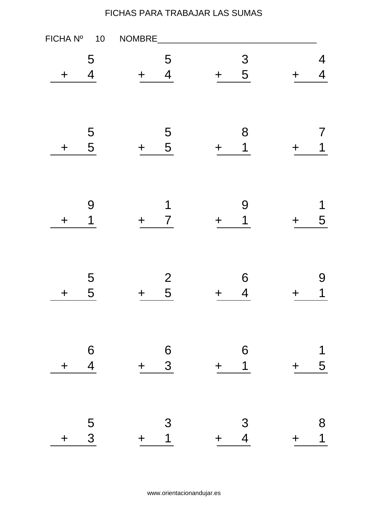| FICHA Nº    | $10$                               | NOMBRE      |                                       |        |                                       |       |                               |
|-------------|------------------------------------|-------------|---------------------------------------|--------|---------------------------------------|-------|-------------------------------|
| $\ddag$     | 5<br>$\overline{4}$                | ╈           | 5<br>$\overline{\mathcal{A}}$         | $\div$ | $\mathfrak{S}$<br>5                   |       | 4<br>$\overline{\mathcal{A}}$ |
| $\mathbf +$ | 5<br>5                             | $\mathbf +$ | 5<br>5                                | ╋      | 8<br>$\mathbf 1$                      |       | $\sqrt{2}$<br>1               |
| $\mathbf +$ | 9<br>1                             | ╈           | 1<br>$\overline{7}$                   | ╋      | 9<br>1                                |       | 1<br>5                        |
| $\mathbf +$ | 5<br>5                             | ╈           | 2<br>5                                | ╋      | 6<br>$\overline{\mathcal{A}}$         |       | 9<br>1                        |
| $\pm$       | $\boldsymbol{6}$<br>$\overline{4}$ | $+$         | $\begin{array}{c} 6 \\ 3 \end{array}$ | $+$    | $\begin{array}{c} 6 \\ 1 \end{array}$ | $+$   | 1<br>5                        |
| $\pm$       | $\overline{5}$<br>$\overline{3}$   | $+$         | 3<br>$\overline{1}$                   | $+$    | $\frac{3}{4}$                         | $\pm$ | 8<br>$\overline{\mathbf{1}}$  |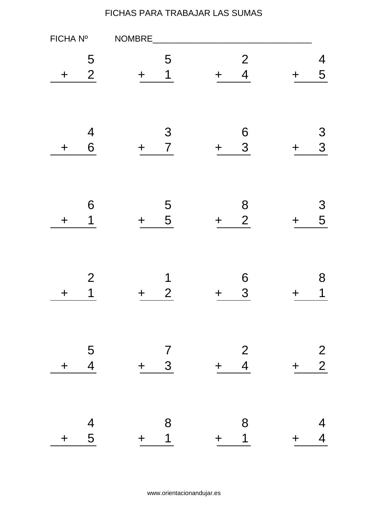| FICHA Nº    | NOMBRE                     |                                |                                         |                                  |     |                                  |
|-------------|----------------------------|--------------------------------|-----------------------------------------|----------------------------------|-----|----------------------------------|
| ╈           | 5<br>2                     | 5<br>1                         | $\div$                                  | $\overline{2}$<br>$\overline{4}$ |     | 4<br>5                           |
| $\div$      | $\overline{4}$<br>6<br>╈   | 3<br>$\overline{7}$            | $\div$                                  | $\boldsymbol{6}$<br>3            |     | 3<br>3                           |
| $\mathbf +$ | 6<br>1<br>$\div$           | 5<br>5                         | $\mathbf +$                             | 8<br>$\overline{2}$              | ╈   | 3<br>5                           |
| ╈           | $\overline{2}$<br>1        | 1<br>$\overline{2}$            | ╈                                       | 6<br>3                           |     | 8<br>1                           |
| $\pm$       | 5<br>$\overline{4}$<br>$+$ | $\overline{7}$<br>$\mathbf{3}$ | $\begin{array}{r} 2 \\ + 4 \end{array}$ |                                  | $+$ | $\frac{2}{2}$                    |
| $\ddag$     | $\frac{4}{5}$<br>$+$       | 8<br>$\overline{1}$            | $+$                                     | 8<br>$\overline{1}$              | $+$ | $\overline{4}$<br>$\overline{4}$ |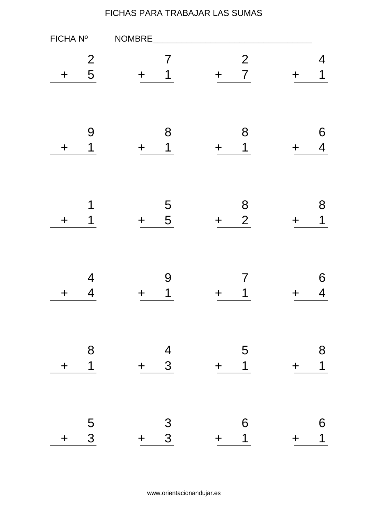| FICHA Nº    |                     | NOMBRE                                       |                                          |             |                     |
|-------------|---------------------|----------------------------------------------|------------------------------------------|-------------|---------------------|
| $\mathbf +$ | $\overline{2}$<br>5 | 7<br>1                                       | $\mathbf{2}$<br>$\overline{7}$<br>$\div$ |             | 4<br>1              |
| $\mathbf +$ | 9<br>1              | 8<br>1                                       | 8<br>1<br>$\div$                         |             | 6<br>$\overline{4}$ |
| $\div$      | 1<br>1              | 5<br>5<br>$\div$                             | 8<br>$\overline{2}$<br>$\div$            |             | 8<br>1              |
| ┿           | 4<br>4              | 9<br>1                                       | 7<br>╋                                   |             | 6<br>4              |
| $\ddag$     | 8<br>$\overline{1}$ | $\frac{4}{3}$<br>$+$                         | 5<br>$\overline{1}$<br>$+$               | $+$         | 8<br>$\overline{1}$ |
| $\ddag$     | $\overline{5}$<br>3 | $\begin{array}{c} 3 \\ 3 \end{array}$<br>$+$ | 6<br>$\overline{\mathbf{1}}$<br>$+$      | $\mathbf +$ | 6<br>$\overline{1}$ |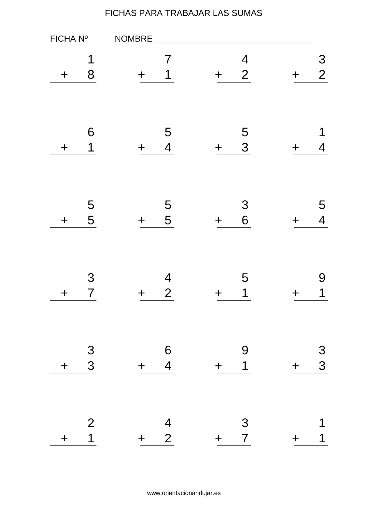| FICHA Nº    |                     | NOMBRE                                  |                                                      |                        |
|-------------|---------------------|-----------------------------------------|------------------------------------------------------|------------------------|
| $\mathbf +$ | 1<br>8              | 7<br>1                                  | $\overline{\mathcal{A}}$<br>$\overline{2}$<br>$\div$ | 3<br>$\overline{2}$    |
| $\div$      | 6<br>1              | 5<br>$\overline{\mathcal{A}}$<br>$\div$ | 5<br>3<br>$\div$                                     | 1<br>4                 |
| $\mathbf +$ | 5<br>5              | 5<br>5<br>$\div$                        | 3<br>6<br>$\div$                                     | 5<br>$\overline{4}$    |
| $\bm{+}$    | 3<br>$\overline{7}$ | 4<br>$\overline{2}$                     | 5<br>1<br>╈                                          | 9<br>1                 |
| $\div$      | $\frac{3}{3}$       | $\frac{6}{4}$<br>$+$                    | 9<br>$\overline{1}$<br>$+$                           | $\frac{3}{3}$<br>$\pm$ |
| $\div$      | 2<br>$\overline{1}$ | $\frac{4}{2}$<br>$\ddagger$             | 3 <sup>1</sup><br>$\overline{7}$<br>$+$              | 1<br>$\mathbf +$       |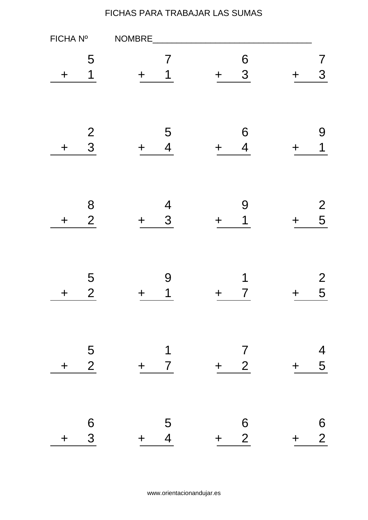| FICHA Nº    |                     | NOMBRE                                  |                                          |       |                     |
|-------------|---------------------|-----------------------------------------|------------------------------------------|-------|---------------------|
| ╈           | 5<br>1              | 7<br>1                                  | 6<br>3<br>$\div$                         |       | 7<br>3              |
| $\div$      | 2<br>3              | 5<br>$\overline{4}$                     | 6<br>$\overline{4}$<br>$\div$            |       | 9<br>1              |
| $\mathbf +$ | 8<br>$\overline{2}$ | $\overline{4}$<br>3<br>╈                | 9<br>1<br>$\div$                         |       | $\overline{2}$<br>5 |
| ╈           | 5<br>$\overline{2}$ | 9<br>1                                  | 1<br>7<br>╈                              |       | $\overline{2}$<br>5 |
| $+$         | 5<br>$\overline{2}$ | $\overline{1}$<br>$+ 7$                 | $\overline{7}$<br>$2\overline{)}$<br>$+$ | $+$   | $\overline{4}$<br>5 |
| $\ddag$     | 6<br>3              | $\overline{5}$<br>$\overline{4}$<br>$+$ | $\frac{6}{2}$<br>$+$                     | $\pm$ | $\frac{6}{2}$       |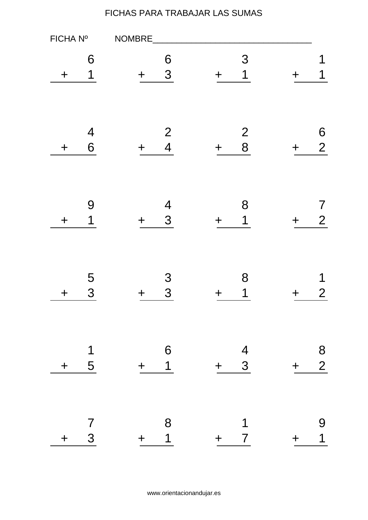| FICHA Nº    |                              | NOMBRE                                  |                                              |       |                                       |
|-------------|------------------------------|-----------------------------------------|----------------------------------------------|-------|---------------------------------------|
| ╈           | 6<br>1                       | 6<br>3                                  | 3<br>1<br>$\div$                             |       | 1<br>1                                |
| $\div$      | $\overline{4}$<br>6          | $\mathbf{2}$<br>$\overline{4}$<br>╈     | 2<br>8<br>$\div$                             | ╋     | 6<br>$\overline{2}$                   |
| $\mathbf +$ | 9<br>1                       | $\overline{\mathcal{A}}$<br>3<br>$\div$ | 8<br>1<br>$\mathbf +$                        | ┿     | $\mathcal I$<br>$\overline{2}$        |
| ┿           | 5<br>3                       | 3<br>3                                  | 8<br>1                                       |       | 1<br>$\overline{2}$                   |
| $\ddag$     | $\overline{\mathbf{1}}$<br>5 | $\overline{6}$<br>$+ 1$                 | $\begin{array}{cc} & 4 \\ + & 3 \end{array}$ | $+$   | $\begin{array}{c} 8 \\ 2 \end{array}$ |
| $\div$      | $\overline{7}$<br>3          | 8<br>$\overline{1}$<br>$+$              | 1<br>7 <sup>7</sup><br>$+$ $-$               | $\pm$ | 9<br>$\overline{1}$                   |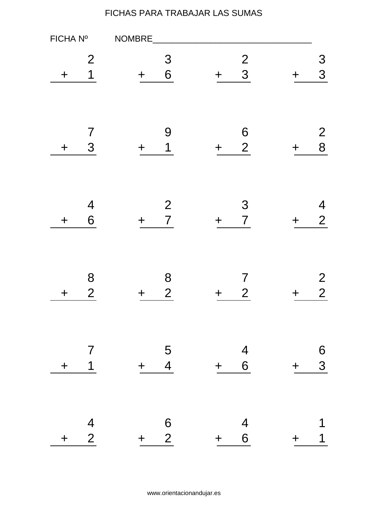| FICHA Nº    |                                  | NOMBRE                                       |          |                                              |     |                                  |
|-------------|----------------------------------|----------------------------------------------|----------|----------------------------------------------|-----|----------------------------------|
| ╈           | $\overline{2}$<br>1              | 3<br>6<br>$\div$                             | $\bm{+}$ | $\frac{2}{3}$                                |     | 3<br>3                           |
| $\mathbf +$ | $\overline{7}$<br>3              | 9<br>1                                       | $\div$   | 6<br>$\overline{2}$                          |     | $\overline{2}$<br>8              |
| $\mathbf +$ | $\overline{4}$<br>6              | $\mathbf{2}$<br>$\overline{7}$<br>$\div$     | $\div$   | 3<br>$\overline{7}$                          | ╈   | 4<br>$\overline{2}$              |
| ╈           | 8<br>$\overline{2}$              | 8<br>$\overline{2}$                          | ╋        | 7<br>$\overline{2}$                          |     | $\overline{2}$<br>$\overline{2}$ |
| $\div$      | $\overline{7}$<br>$\overline{1}$ | $\begin{array}{cc} & 5 \\ + & 4 \end{array}$ |          | $\begin{array}{cc} & 4 \\ + & 6 \end{array}$ | $+$ | 6<br>3                           |
| $+$         | $\frac{4}{2}$                    | $\begin{array}{c}\n6 \\ + 2\n\end{array}$    |          | $\begin{array}{r} 4 \\ + 6 \end{array}$      | $+$ | 1                                |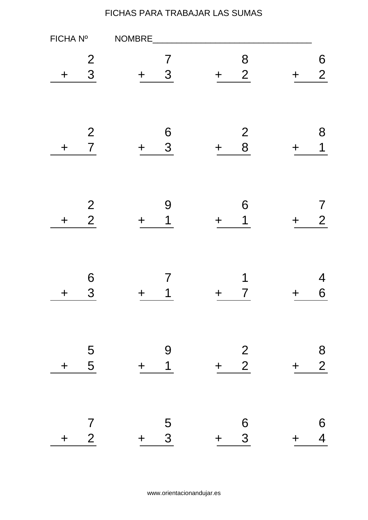| FICHA Nº    |                                  | NOMBRE                                |                                                      |       |                                       |
|-------------|----------------------------------|---------------------------------------|------------------------------------------------------|-------|---------------------------------------|
| ╈           | $\overline{2}$<br>3              | 7<br>3<br>$\div$                      | 8<br>2<br>$\mathbf +$                                |       | 6<br>$\overline{2}$                   |
| $\mathbf +$ | $\mathbf{2}$<br>$\overline{7}$   | 6<br>3<br>╈                           | $\begin{array}{c} 2 \\ 8 \end{array}$<br>$\mathbf +$ |       | 8<br>1                                |
| $\div$      | $\frac{2}{2}$                    | 9<br>1<br>╋                           | 6<br>$\mathbf 1$<br>$\div$                           |       | $\overline{2}$                        |
| ┿           | 6<br>3                           | 7<br>1                                | 1<br>7<br>┿                                          |       | 4<br>6                                |
| $\pm$       | $\frac{5}{5}$                    | 9<br>$\overline{1}$<br>$+$            | $\frac{2}{2}$<br>$+$                                 | $\pm$ | $\begin{array}{c} 8 \\ 2 \end{array}$ |
| $\pm$       | $\overline{7}$<br>$\overline{2}$ | $\overline{5}$<br>$\mathbf{3}$<br>$+$ | $\boldsymbol{6}$<br>$\overline{3}$<br>$+$            | $\pm$ | 6<br>$\overline{4}$                   |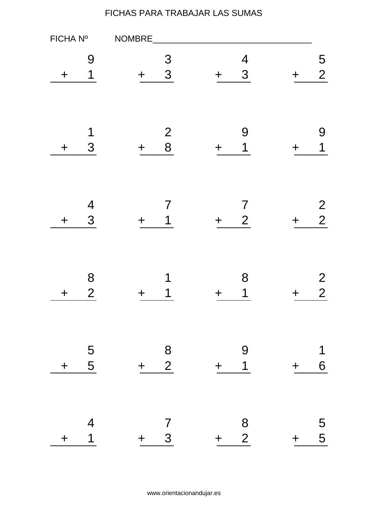| FICHA Nº    |                                            | NOMBRE                                       |                                              |                                  |
|-------------|--------------------------------------------|----------------------------------------------|----------------------------------------------|----------------------------------|
| ╈           | 9<br>1                                     | 3<br>3                                       | $\overline{4}$<br>3<br>$\mathbf +$           | 5<br>$\overline{2}$              |
| ╈           | 1<br>3                                     | 2<br>8                                       | 9<br>1<br>$\div$                             | 9<br>1                           |
| $\mathbf +$ | $\overline{\mathcal{A}}$<br>3              | 1<br>╈                                       | 7<br>$\overline{2}$<br>$\mathbf +$           | $\overline{2}$<br>$\overline{2}$ |
| ╈           | 8<br>$\overline{2}$                        | 1<br>1                                       | 8<br>1<br>╈                                  | $\overline{2}$<br>$\overline{2}$ |
| $\ddag$     | $\frac{5}{5}$                              | $\begin{array}{c} 8 \\ 2 \end{array}$<br>$+$ | 9<br>$\overline{1}$<br>$+$                   | 1<br>6<br>$\pm$                  |
| $\pm$       | $\overline{\mathcal{A}}$<br>$\overline{1}$ | $\overline{7}$<br>$3\overline{)}$<br>$+$     | $\begin{array}{c} 8 \\ 2 \end{array}$<br>$+$ | 5<br>5<br>5<br>$+$               |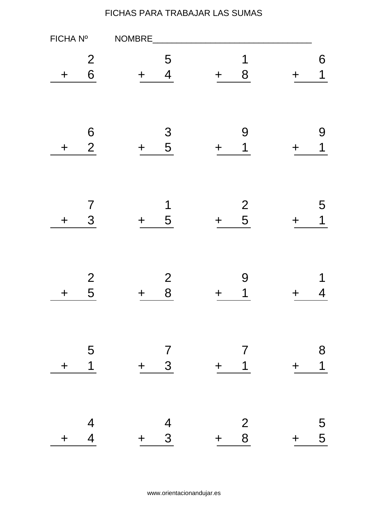| FICHA Nº    |                                  | NOMBRE                                       |                                              |                              |
|-------------|----------------------------------|----------------------------------------------|----------------------------------------------|------------------------------|
| ╋           | $\overline{2}$<br>6              | 5<br>$\overline{4}$                          | 1<br>8<br>$\div$                             | 6<br>1                       |
| $\mathbf +$ | 6<br>$\overline{2}$              | 3<br>5<br>╈                                  | 9<br>1<br>$\div$                             | 9<br>$\overline{\mathbf{1}}$ |
| $\mathbf +$ | $\overline{\mathcal{I}}$<br>3    | 1<br>5<br>$\div$                             | $\frac{2}{5}$<br>$\div$                      | 5<br>1<br>╈                  |
| ╈           | $\mathbf{2}$<br>5                | 2<br>8                                       | 9<br>1<br>┿                                  | 4                            |
| $\ddag$     | $\overline{5}$<br>$\overline{1}$ | $\begin{array}{cc} & 7 \\ + & 3 \end{array}$ | $\overline{7}$<br>$+$ 1                      | 8<br>$\overline{1}$<br>$+$   |
| $\ddag$     | $\frac{4}{4}$                    | $\begin{array}{c} 4 \\ 3 \end{array}$<br>$+$ | $\begin{array}{c} 2 \\ 8 \end{array}$<br>$+$ | 5<br>5<br>$+$                |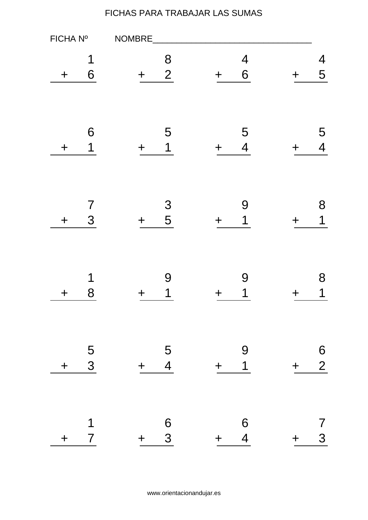| FICHA Nº    |                     | NOMBRE                                       |                                         |                                   |
|-------------|---------------------|----------------------------------------------|-----------------------------------------|-----------------------------------|
| ╋           | 1<br>6              | 8<br>$\overline{2}$                          | $\overline{\mathcal{A}}$<br>6<br>$\div$ | 4<br>5                            |
| $\div$      | 6<br>1              | 5<br>1                                       | 5<br>$\overline{\mathcal{A}}$<br>$\div$ | 5<br>$\overline{4}$               |
| $\mathbf +$ | $\overline{7}$<br>3 | 3<br>5<br>$\div$                             | 9<br>1<br>$\mathbf +$                   | 8<br>1                            |
| ╈           | 1<br>8              | 9<br>1                                       | 9<br>1<br>╈                             | 8<br>1                            |
| $\div$      | $\frac{5}{3}$       | $\overline{5}$<br>$\overline{4}$<br>$+$      | 9<br>$\overline{1}$<br>$+$              | $\frac{6}{2}$<br>$\pm$            |
| $\pm$       | 1<br>$\overline{7}$ | $\begin{array}{c} 6 \\ 3 \end{array}$<br>$+$ | 6<br>4<br>$+$                           | $\overline{\prime}$<br>3<br>$\pm$ |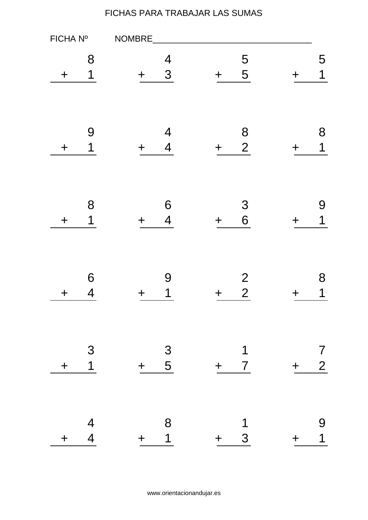| FICHA Nº    |                                 | NOMBRE                                  |                                       |                            |
|-------------|---------------------------------|-----------------------------------------|---------------------------------------|----------------------------|
| ╋           | 8<br>1                          | 4<br>3                                  | 5<br>5<br>$\mathbf +$                 | 5<br>1                     |
| ╈           | 9<br>1                          | 4<br>$\overline{4}$                     | 8<br>$\overline{2}$<br>$\div$         | 8<br>1                     |
| $\mathbf +$ | 8<br>1                          | 6<br>4                                  | 3<br>6<br>$\mathbf +$                 | 9<br>1                     |
| ╈           | 6<br>4                          | 9<br>$\mathbf 1$                        | $\overline{2}$<br>$\overline{2}$<br>┿ | 8<br>1                     |
| $\pm$       | $\mathcal{S}$<br>$\overline{1}$ | $\begin{array}{r} 3 \\ + 5 \end{array}$ | $\mathbf 1$<br>$+$ 7                  | $\frac{7}{2}$<br>$+$       |
| $\pm$       | $\frac{4}{4}$                   | 8<br>$\overline{1}$<br>$+$ $-$          | 1<br>$\mathbf{3}$<br>$+$              | 9<br>$\overline{1}$<br>$+$ |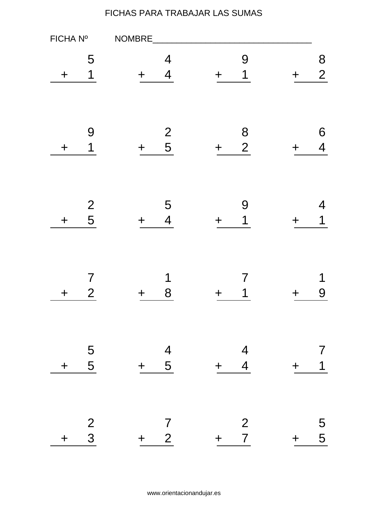| FICHA Nº    |                     | NOMBRE                                  |                                         |                               |
|-------------|---------------------|-----------------------------------------|-----------------------------------------|-------------------------------|
| ╋           | 5<br>1              | 4<br>4                                  | 9<br>1<br>$\div$                        | 8<br>$\overline{2}$           |
| $\mathbf +$ | 9<br>1              | $\frac{2}{5}$<br>╈                      | 8<br>$\overline{2}$<br>$\div$           | 6<br>$\overline{\mathcal{A}}$ |
| $\mathbf +$ | $\overline{2}$<br>5 | 5<br>4<br>╈                             | 9<br>1<br>$\mathbf +$                   | 4<br>1                        |
| ╈           | 7<br>$\overline{2}$ | 1<br>8                                  |                                         | 1<br>9                        |
| $\pm$       | $\frac{5}{5}$       | $\begin{array}{r} 4 \\ + 5 \end{array}$ | $\frac{4}{4}$<br>$+$                    | 7<br>$\overline{1}$<br>$\pm$  |
| $\pm$       | $\frac{2}{3}$       | $\overline{7}$<br>$+ 2$                 | $\overline{2}$<br>$\overline{7}$<br>$+$ | 5<br>5<br>$+$                 |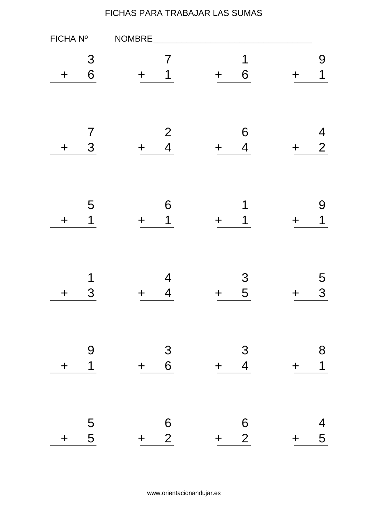| FICHA Nº    |                            | NOMBRE                                       |                                              |     |                               |
|-------------|----------------------------|----------------------------------------------|----------------------------------------------|-----|-------------------------------|
| $\mathbf +$ | 3<br>6                     | 7<br>1                                       | 1<br>6<br>$\div$                             |     | 9<br>1                        |
| $\mathbf +$ | $\overline{7}$<br>3        | $\mathbf{2}$<br>$\overline{4}$               | 6<br>$\overline{\mathcal{A}}$<br>$\div$      |     | 4<br>$\overline{2}$           |
| $\div$      | 5<br>1                     | 6<br>1                                       | 1<br>$+$                                     |     | 9<br>1                        |
| ┿           | 1<br>3                     | 4<br>4                                       | 3<br>5<br>╈                                  |     | 5<br>3                        |
| $\ddag$     | $\Theta$<br>$\overline{1}$ | $\begin{array}{c} 3 \\ 6 \end{array}$<br>$+$ | $\frac{3}{4}$<br>$+$                         | $+$ | 8<br>$\overline{1}$           |
| $\ddag$     | $\frac{5}{5}$              | $\frac{6}{2}$<br>$+$                         | $\begin{array}{c} 6 \\ 2 \end{array}$<br>$+$ | $+$ | $\overline{\mathcal{A}}$<br>5 |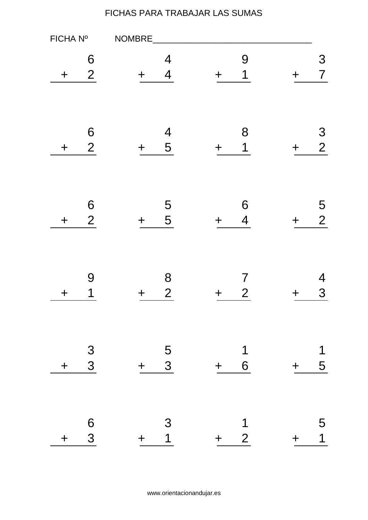| FICHA Nº    |                     | NOMBRE                                   |                                                 |     |                     |
|-------------|---------------------|------------------------------------------|-------------------------------------------------|-----|---------------------|
| ╋           | 6<br>$\overline{2}$ | 4<br>$\overline{4}$                      | 9<br>1<br>$\div$                                |     | 3<br>$\overline{7}$ |
| $\div$      | 6<br>$\overline{2}$ | $\overline{\mathcal{A}}$<br>5<br>$\ddag$ | 8<br>1<br>$\div$                                | ╈   | 3<br>$\overline{2}$ |
| $\mathbf +$ | 6<br>$\overline{2}$ | 5<br>5<br>$\div$                         | 6<br>$\overline{\mathcal{A}}$<br>$\div$         | ╈   | 5<br>$\overline{2}$ |
| ╈           | 9<br>1              | 8<br>$\overline{2}$                      | $\overline{\mathcal{I}}$<br>$\overline{2}$<br>╋ |     | 4<br>3              |
| $\div$      | $\frac{3}{3}$       | $\frac{5}{3}$<br>$+$                     | $\mathbf 1$<br>6<br>$+$                         | $+$ | 1<br>5              |
| $\ddag$     | 6<br>3              | 3<br>1<br>$\pm$                          | 1<br>$\overline{2}$<br>$+$                      | ╈   | 5<br>$\overline{1}$ |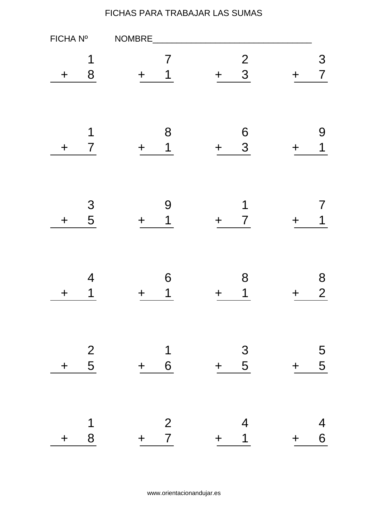| FICHA Nº |                     | NOMBRE                                             |                                         |     |                     |
|----------|---------------------|----------------------------------------------------|-----------------------------------------|-----|---------------------|
| ╋        | 1<br>8              | 7<br>1                                             | $\frac{2}{3}$<br>$\div$                 |     | 3<br>$\overline{7}$ |
| $\div$   | 1<br>$\overline{7}$ | 8<br>1                                             | $\boldsymbol{6}$<br>3<br>$\div$         |     | 9<br>1              |
| $\div$   | 3<br>5              | 9<br>1                                             | 1<br>$\overline{7}$<br>$\div$           |     | 1                   |
| ┿        | 4<br>1              | 6<br>1                                             | 8<br>1<br>╈                             |     | 8<br>$\overline{2}$ |
| $+$      | $\frac{2}{5}$       | $\overline{\mathbf{1}}$<br>$6 \overline{6}$<br>$+$ | $\begin{array}{r} 3 \\ + 5 \end{array}$ | $+$ | 5<br>5              |
| $\ddag$  | $\mathbf 1$<br>8    | $\begin{array}{cc} & 2 \\ + & 7 \end{array}$       | $\overline{4}$<br>$\mathbf 1$<br>$+$    | $+$ | $\overline{4}$<br>6 |